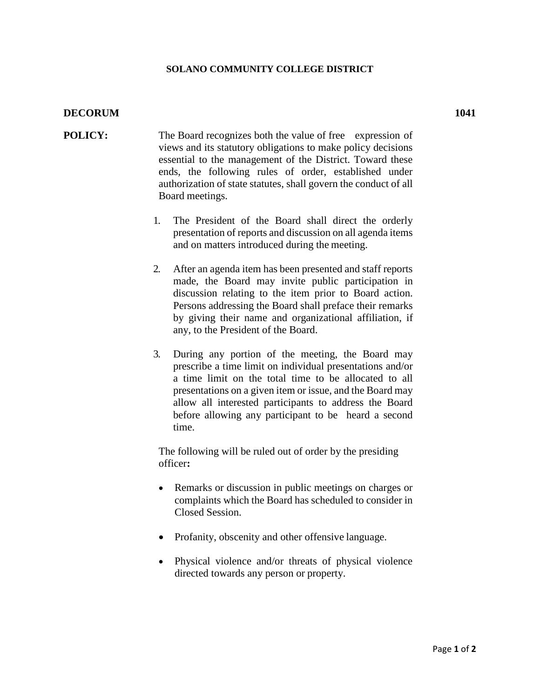## **SOLANO COMMUNITY COLLEGE DISTRICT**

## **DECORUM 1041**

- **POLICY:** The Board recognizes both the value of free expression of views and its statutory obligations to make policy decisions essential to the management of the District. Toward these ends, the following rules of order, established under authorization of state statutes, shall govern the conduct of all Board meetings.
	- 1. The President of the Board shall direct the orderly presentation of reports and discussion on all agenda items and on matters introduced during the meeting.
	- 2. After an agenda item has been presented and staff reports made, the Board may invite public participation in discussion relating to the item prior to Board action. Persons addressing the Board shall preface their remarks by giving their name and organizational affiliation, if any, to the President of the Board.
	- 3. During any portion of the meeting, the Board may prescribe a time limit on individual presentations and/or a time limit on the total time to be allocated to all presentations on a given item or issue, and the Board may allow all interested participants to address the Board before allowing any participant to be heard a second time.

The following will be ruled out of order by the presiding officer**:**

- Remarks or discussion in public meetings on charges or complaints which the Board has scheduled to consider in Closed Session.
- Profanity, obscenity and other offensive language.
- Physical violence and/or threats of physical violence directed towards any person or property.